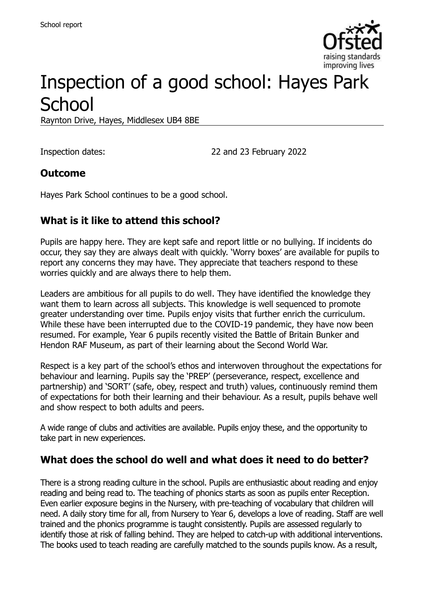

# Inspection of a good school: Hayes Park **School**

Raynton Drive, Hayes, Middlesex UB4 8BE

Inspection dates: 22 and 23 February 2022

#### **Outcome**

Hayes Park School continues to be a good school.

# **What is it like to attend this school?**

Pupils are happy here. They are kept safe and report little or no bullying. If incidents do occur, they say they are always dealt with quickly. 'Worry boxes' are available for pupils to report any concerns they may have. They appreciate that teachers respond to these worries quickly and are always there to help them.

Leaders are ambitious for all pupils to do well. They have identified the knowledge they want them to learn across all subjects. This knowledge is well sequenced to promote greater understanding over time. Pupils enjoy visits that further enrich the curriculum. While these have been interrupted due to the COVID-19 pandemic, they have now been resumed. For example, Year 6 pupils recently visited the Battle of Britain Bunker and Hendon RAF Museum, as part of their learning about the Second World War.

Respect is a key part of the school's ethos and interwoven throughout the expectations for behaviour and learning. Pupils say the 'PREP' (perseverance, respect, excellence and partnership) and 'SORT' (safe, obey, respect and truth) values, continuously remind them of expectations for both their learning and their behaviour. As a result, pupils behave well and show respect to both adults and peers.

A wide range of clubs and activities are available. Pupils enjoy these, and the opportunity to take part in new experiences.

# **What does the school do well and what does it need to do better?**

There is a strong reading culture in the school. Pupils are enthusiastic about reading and enjoy reading and being read to. The teaching of phonics starts as soon as pupils enter Reception. Even earlier exposure begins in the Nursery, with pre-teaching of vocabulary that children will need. A daily story time for all, from Nursery to Year 6, develops a love of reading. Staff are well trained and the phonics programme is taught consistently. Pupils are assessed regularly to identify those at risk of falling behind. They are helped to catch-up with additional interventions. The books used to teach reading are carefully matched to the sounds pupils know. As a result,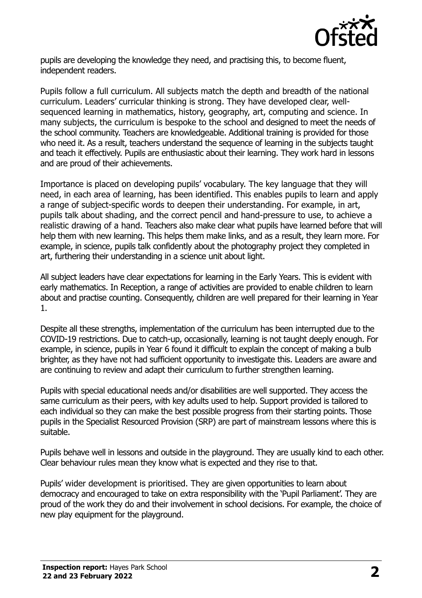

pupils are developing the knowledge they need, and practising this, to become fluent, independent readers.

Pupils follow a full curriculum. All subjects match the depth and breadth of the national curriculum. Leaders' curricular thinking is strong. They have developed clear, wellsequenced learning in mathematics, history, geography, art, computing and science. In many subjects, the curriculum is bespoke to the school and designed to meet the needs of the school community. Teachers are knowledgeable. Additional training is provided for those who need it. As a result, teachers understand the sequence of learning in the subjects taught and teach it effectively. Pupils are enthusiastic about their learning. They work hard in lessons and are proud of their achievements.

Importance is placed on developing pupils' vocabulary. The key language that they will need, in each area of learning, has been identified. This enables pupils to learn and apply a range of subject-specific words to deepen their understanding. For example, in art, pupils talk about shading, and the correct pencil and hand-pressure to use, to achieve a realistic drawing of a hand. Teachers also make clear what pupils have learned before that will help them with new learning. This helps them make links, and as a result, they learn more. For example, in science, pupils talk confidently about the photography project they completed in art, furthering their understanding in a science unit about light.

All subject leaders have clear expectations for learning in the Early Years. This is evident with early mathematics. In Reception, a range of activities are provided to enable children to learn about and practise counting. Consequently, children are well prepared for their learning in Year 1.

Despite all these strengths, implementation of the curriculum has been interrupted due to the COVID-19 restrictions. Due to catch-up, occasionally, learning is not taught deeply enough. For example, in science, pupils in Year 6 found it difficult to explain the concept of making a bulb brighter, as they have not had sufficient opportunity to investigate this. Leaders are aware and are continuing to review and adapt their curriculum to further strengthen learning.

Pupils with special educational needs and/or disabilities are well supported. They access the same curriculum as their peers, with key adults used to help. Support provided is tailored to each individual so they can make the best possible progress from their starting points. Those pupils in the Specialist Resourced Provision (SRP) are part of mainstream lessons where this is suitable.

Pupils behave well in lessons and outside in the playground. They are usually kind to each other. Clear behaviour rules mean they know what is expected and they rise to that.

Pupils' wider development is prioritised. They are given opportunities to learn about democracy and encouraged to take on extra responsibility with the 'Pupil Parliament'. They are proud of the work they do and their involvement in school decisions. For example, the choice of new play equipment for the playground.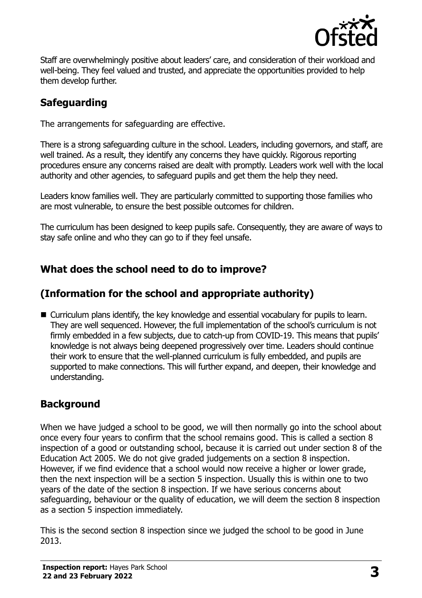

Staff are overwhelmingly positive about leaders' care, and consideration of their workload and well-being. They feel valued and trusted, and appreciate the opportunities provided to help them develop further.

# **Safeguarding**

The arrangements for safeguarding are effective.

There is a strong safeguarding culture in the school. Leaders, including governors, and staff, are well trained. As a result, they identify any concerns they have quickly. Rigorous reporting procedures ensure any concerns raised are dealt with promptly. Leaders work well with the local authority and other agencies, to safeguard pupils and get them the help they need.

Leaders know families well. They are particularly committed to supporting those families who are most vulnerable, to ensure the best possible outcomes for children.

The curriculum has been designed to keep pupils safe. Consequently, they are aware of ways to stay safe online and who they can go to if they feel unsafe.

# **What does the school need to do to improve?**

# **(Information for the school and appropriate authority)**

■ Curriculum plans identify, the key knowledge and essential vocabulary for pupils to learn. They are well sequenced. However, the full implementation of the school's curriculum is not firmly embedded in a few subjects, due to catch-up from COVID-19. This means that pupils' knowledge is not always being deepened progressively over time. Leaders should continue their work to ensure that the well-planned curriculum is fully embedded, and pupils are supported to make connections. This will further expand, and deepen, their knowledge and understanding.

# **Background**

When we have judged a school to be good, we will then normally go into the school about once every four years to confirm that the school remains good. This is called a section 8 inspection of a good or outstanding school, because it is carried out under section 8 of the Education Act 2005. We do not give graded judgements on a section 8 inspection. However, if we find evidence that a school would now receive a higher or lower grade, then the next inspection will be a section 5 inspection. Usually this is within one to two years of the date of the section 8 inspection. If we have serious concerns about safeguarding, behaviour or the quality of education, we will deem the section 8 inspection as a section 5 inspection immediately.

This is the second section 8 inspection since we judged the school to be good in June 2013.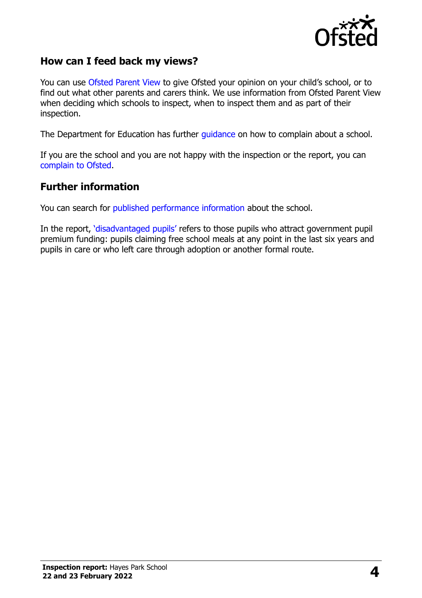

#### **How can I feed back my views?**

You can use [Ofsted Parent View](https://parentview.ofsted.gov.uk/) to give Ofsted your opinion on your child's school, or to find out what other parents and carers think. We use information from Ofsted Parent View when deciding which schools to inspect, when to inspect them and as part of their inspection.

The Department for Education has further [guidance](http://www.gov.uk/complain-about-school) on how to complain about a school.

If you are the school and you are not happy with the inspection or the report, you can [complain to Ofsted.](https://www.gov.uk/complain-ofsted-report)

#### **Further information**

You can search for [published performance information](http://www.compare-school-performance.service.gov.uk/) about the school.

In the report, '[disadvantaged pupils](http://www.gov.uk/guidance/pupil-premium-information-for-schools-and-alternative-provision-settings)' refers to those pupils who attract government pupil premium funding: pupils claiming free school meals at any point in the last six years and pupils in care or who left care through adoption or another formal route.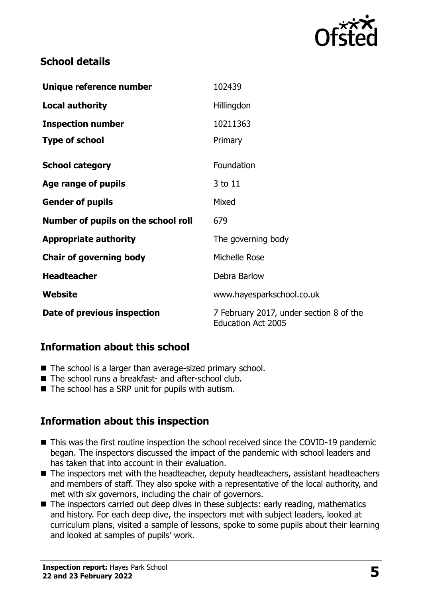

# **School details**

| Unique reference number             | 102439                                                               |
|-------------------------------------|----------------------------------------------------------------------|
| <b>Local authority</b>              | Hillingdon                                                           |
| <b>Inspection number</b>            | 10211363                                                             |
| <b>Type of school</b>               | Primary                                                              |
| <b>School category</b>              | Foundation                                                           |
| Age range of pupils                 | 3 to 11                                                              |
| <b>Gender of pupils</b>             | Mixed                                                                |
| Number of pupils on the school roll | 679                                                                  |
| <b>Appropriate authority</b>        | The governing body                                                   |
| <b>Chair of governing body</b>      | Michelle Rose                                                        |
| <b>Headteacher</b>                  | Debra Barlow                                                         |
| Website                             | www.hayesparkschool.co.uk                                            |
| Date of previous inspection         | 7 February 2017, under section 8 of the<br><b>Education Act 2005</b> |

#### **Information about this school**

- The school is a larger than average-sized primary school.
- The school runs a breakfast- and after-school club.
- $\blacksquare$  The school has a SRP unit for pupils with autism.

# **Information about this inspection**

- This was the first routine inspection the school received since the COVID-19 pandemic began. The inspectors discussed the impact of the pandemic with school leaders and has taken that into account in their evaluation.
- The inspectors met with the headteacher, deputy headteachers, assistant headteachers and members of staff. They also spoke with a representative of the local authority, and met with six governors, including the chair of governors.
- The inspectors carried out deep dives in these subjects: early reading, mathematics and history. For each deep dive, the inspectors met with subject leaders, looked at curriculum plans, visited a sample of lessons, spoke to some pupils about their learning and looked at samples of pupils' work.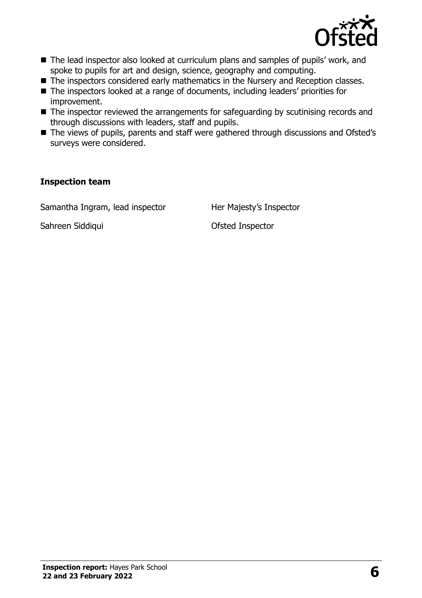

- The lead inspector also looked at curriculum plans and samples of pupils' work, and spoke to pupils for art and design, science, geography and computing.
- The inspectors considered early mathematics in the Nursery and Reception classes.
- The inspectors looked at a range of documents, including leaders' priorities for improvement.
- The inspector reviewed the arrangements for safeguarding by scutinising records and through discussions with leaders, staff and pupils.
- The views of pupils, parents and staff were gathered through discussions and Ofsted's surveys were considered.

#### **Inspection team**

Samantha Ingram, lead inspector Her Majesty's Inspector

Sahreen Siddiqui **Canadian Control Control Control Control Control Control Control Control Control Control Control Control Control Control Control Control Control Control Control Control Control Control Control Control Con**